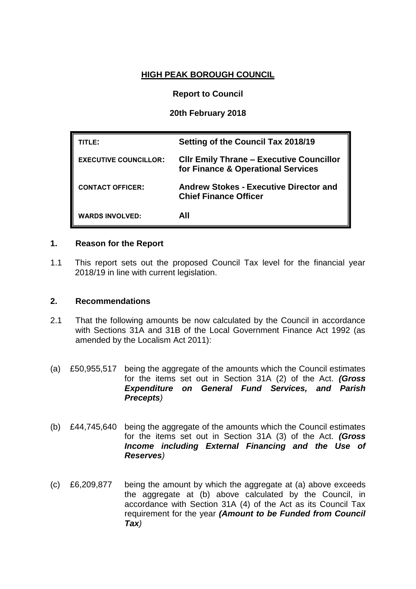#### **HIGH PEAK BOROUGH COUNCIL**

### **Report to Council**

## **20th February 2018**

| TITLE:                       | Setting of the Council Tax 2018/19                                                    |
|------------------------------|---------------------------------------------------------------------------------------|
| <b>EXECUTIVE COUNCILLOR:</b> | <b>CIIr Emily Thrane - Executive Councillor</b><br>for Finance & Operational Services |
| <b>CONTACT OFFICER:</b>      | <b>Andrew Stokes - Executive Director and</b><br><b>Chief Finance Officer</b>         |
| <b>WARDS INVOLVED:</b>       | All                                                                                   |

#### **1. Reason for the Report**

1.1 This report sets out the proposed Council Tax level for the financial year 2018/19 in line with current legislation.

#### **2. Recommendations**

- 2.1 That the following amounts be now calculated by the Council in accordance with Sections 31A and 31B of the Local Government Finance Act 1992 (as amended by the Localism Act 2011):
- (a) £50,955,517 being the aggregate of the amounts which the Council estimates for the items set out in Section 31A (2) of the Act. *(Gross Expenditure on General Fund Services, and Parish Precepts)*
- (b) £44,745,640 being the aggregate of the amounts which the Council estimates for the items set out in Section 31A (3) of the Act. *(Gross Income including External Financing and the Use of Reserves)*
- (c) £6,209,877 being the amount by which the aggregate at (a) above exceeds the aggregate at (b) above calculated by the Council, in accordance with Section 31A (4) of the Act as its Council Tax requirement for the year *(Amount to be Funded from Council Tax)*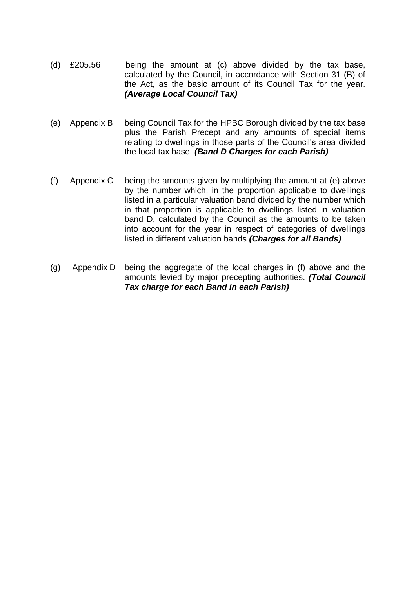- (d) £205.56 being the amount at (c) above divided by the tax base, calculated by the Council, in accordance with Section 31 (B) of the Act, as the basic amount of its Council Tax for the year. *(Average Local Council Tax)*
- (e) Appendix B being Council Tax for the HPBC Borough divided by the tax base plus the Parish Precept and any amounts of special items relating to dwellings in those parts of the Council's area divided the local tax base. *(Band D Charges for each Parish)*
- (f) Appendix C being the amounts given by multiplying the amount at (e) above by the number which, in the proportion applicable to dwellings listed in a particular valuation band divided by the number which in that proportion is applicable to dwellings listed in valuation band D, calculated by the Council as the amounts to be taken into account for the year in respect of categories of dwellings listed in different valuation bands *(Charges for all Bands)*
- (g) Appendix D being the aggregate of the local charges in (f) above and the amounts levied by major precepting authorities. *(Total Council Tax charge for each Band in each Parish)*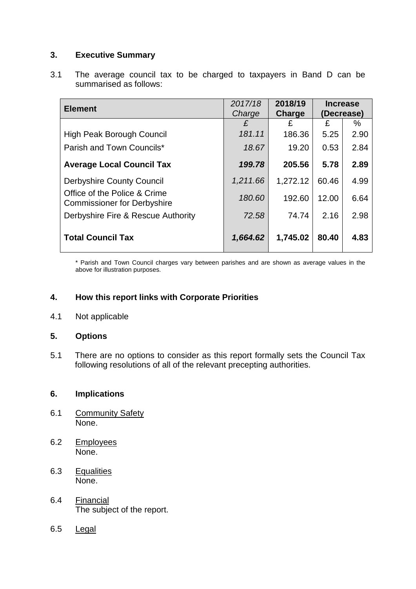## **3. Executive Summary**

3.1 The average council tax to be charged to taxpayers in Band D can be summarised as follows:

| <b>Element</b>                                                     | 2017/18<br>Charge | 2018/19<br>Charge | <b>Increase</b><br>(Decrease) |      |
|--------------------------------------------------------------------|-------------------|-------------------|-------------------------------|------|
|                                                                    | £                 | £                 | £                             | %    |
| <b>High Peak Borough Council</b>                                   | 181.11            | 186.36            | 5.25                          | 2.90 |
| Parish and Town Councils*                                          | 18.67             | 19.20             | 0.53                          | 2.84 |
| <b>Average Local Council Tax</b>                                   | 199.78            | 205.56            | 5.78                          | 2.89 |
| <b>Derbyshire County Council</b>                                   | 1,211.66          | 1,272.12          | 60.46                         | 4.99 |
| Office of the Police & Crime<br><b>Commissioner for Derbyshire</b> | 180.60            | 192.60            | 12.00                         | 6.64 |
| Derbyshire Fire & Rescue Authority                                 | 72.58             | 74.74             | 2.16                          | 2.98 |
| <b>Total Council Tax</b>                                           | 1,664.62          | 1,745.02          | 80.40                         | 4.83 |

\* Parish and Town Council charges vary between parishes and are shown as average values in the above for illustration purposes.

## **4. How this report links with Corporate Priorities**

4.1 Not applicable

## **5. Options**

5.1 There are no options to consider as this report formally sets the Council Tax following resolutions of all of the relevant precepting authorities.

## **6. Implications**

- 6.1 Community Safety None.
- 6.2 Employees None.
- 6.3 Equalities None.
- 6.4 Financial The subject of the report.
- 6.5 Legal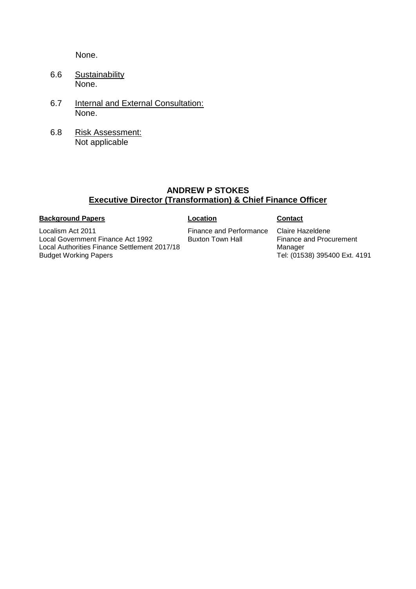None.

- 6.6 Sustainability None.
- 6.7 **Internal and External Consultation:** None.
- 6.8 Risk Assessment: Not applicable

## **ANDREW P STOKES Executive Director (Transformation) & Chief Finance Officer**

#### **Background Papers Contact**

Localism Act 2011 Local Government Finance Act 1992 Local Authorities Finance Settlement 2017/18 Budget Working Papers

Finance and Performance Buxton Town Hall

Claire Hazeldene Finance and Procurement Manager Tel: (01538) 395400 Ext. 4191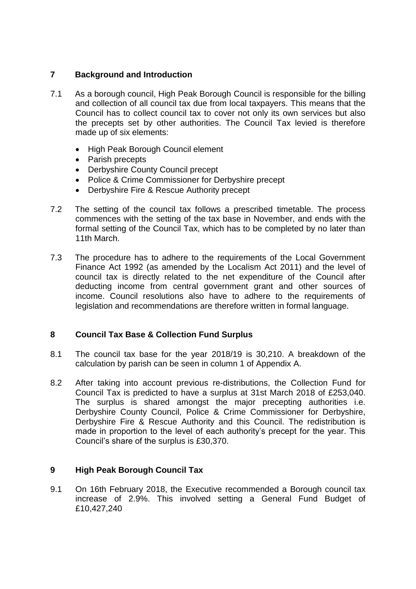## **7 Background and Introduction**

- 7.1 As a borough council, High Peak Borough Council is responsible for the billing and collection of all council tax due from local taxpayers. This means that the Council has to collect council tax to cover not only its own services but also the precepts set by other authorities. The Council Tax levied is therefore made up of six elements:
	- High Peak Borough Council element
	- Parish precepts
	- Derbyshire County Council precept
	- Police & Crime Commissioner for Derbyshire precept
	- Derbyshire Fire & Rescue Authority precept
- 7.2 The setting of the council tax follows a prescribed timetable. The process commences with the setting of the tax base in November, and ends with the formal setting of the Council Tax, which has to be completed by no later than 11th March.
- 7.3 The procedure has to adhere to the requirements of the Local Government Finance Act 1992 (as amended by the Localism Act 2011) and the level of council tax is directly related to the net expenditure of the Council after deducting income from central government grant and other sources of income. Council resolutions also have to adhere to the requirements of legislation and recommendations are therefore written in formal language.

## **8 Council Tax Base & Collection Fund Surplus**

- 8.1 The council tax base for the year 2018/19 is 30,210. A breakdown of the calculation by parish can be seen in column 1 of Appendix A.
- 8.2 After taking into account previous re-distributions, the Collection Fund for Council Tax is predicted to have a surplus at 31st March 2018 of £253,040. The surplus is shared amongst the major precepting authorities i.e. Derbyshire County Council, Police & Crime Commissioner for Derbyshire, Derbyshire Fire & Rescue Authority and this Council. The redistribution is made in proportion to the level of each authority's precept for the year. This Council's share of the surplus is £30,370.

#### **9 High Peak Borough Council Tax**

9.1 On 16th February 2018, the Executive recommended a Borough council tax increase of 2.9%. This involved setting a General Fund Budget of £10,427,240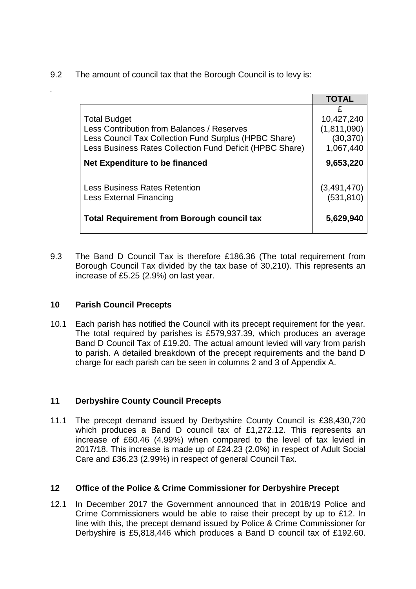9.2 The amount of council tax that the Borough Council is to levy is:

|                                                                                                                                                                                        | <b>TOTAL</b>                                               |
|----------------------------------------------------------------------------------------------------------------------------------------------------------------------------------------|------------------------------------------------------------|
| <b>Total Budget</b><br>Less Contribution from Balances / Reserves<br>Less Council Tax Collection Fund Surplus (HPBC Share)<br>Less Business Rates Collection Fund Deficit (HPBC Share) | £<br>10,427,240<br>(1, 811, 090)<br>(30, 370)<br>1,067,440 |
| Net Expenditure to be financed                                                                                                                                                         | 9,653,220                                                  |
| Less Business Rates Retention<br>Less External Financing                                                                                                                               | (3,491,470)<br>(531, 810)                                  |
| <b>Total Requirement from Borough council tax</b>                                                                                                                                      | 5,629,940                                                  |
|                                                                                                                                                                                        |                                                            |

9.3 The Band D Council Tax is therefore £186.36 (The total requirement from Borough Council Tax divided by the tax base of 30,210). This represents an increase of £5.25 (2.9%) on last year.

#### **10 Parish Council Precepts**

*.*

10.1 Each parish has notified the Council with its precept requirement for the year. The total required by parishes is £579,937.39, which produces an average Band D Council Tax of £19.20. The actual amount levied will vary from parish to parish. A detailed breakdown of the precept requirements and the band D charge for each parish can be seen in columns 2 and 3 of Appendix A.

## **11 Derbyshire County Council Precepts**

11.1 The precept demand issued by Derbyshire County Council is £38,430,720 which produces a Band D council tax of £1,272.12. This represents an increase of £60.46 (4.99%) when compared to the level of tax levied in 2017/18. This increase is made up of £24.23 (2.0%) in respect of Adult Social Care and £36.23 (2.99%) in respect of general Council Tax.

## **12 Office of the Police & Crime Commissioner for Derbyshire Precept**

12.1 In December 2017 the Government announced that in 2018/19 Police and Crime Commissioners would be able to raise their precept by up to £12. In line with this, the precept demand issued by Police & Crime Commissioner for Derbyshire is £5,818,446 which produces a Band D council tax of £192.60.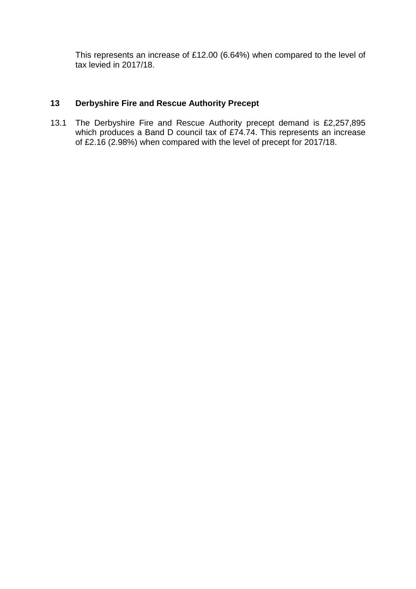This represents an increase of £12.00 (6.64%) when compared to the level of tax levied in 2017/18.

## **13 Derbyshire Fire and Rescue Authority Precept**

13.1 The Derbyshire Fire and Rescue Authority precept demand is £2,257,895 which produces a Band D council tax of £74.74. This represents an increase of £2.16 (2.98%) when compared with the level of precept for 2017/18.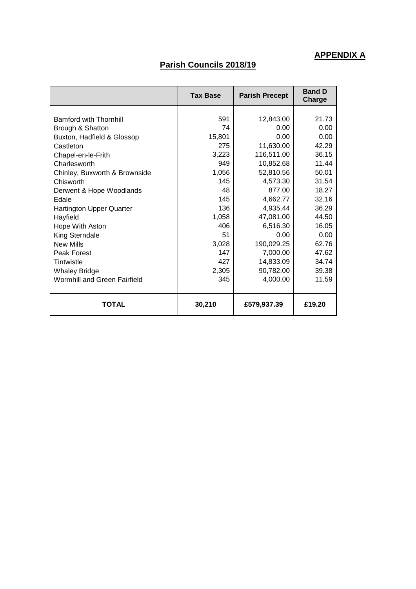# **APPENDIX A**

# **Parish Councils 2018/19**

|                                 | <b>Tax Base</b> | <b>Parish Precept</b> | <b>Band D</b><br>Charge |
|---------------------------------|-----------------|-----------------------|-------------------------|
|                                 |                 |                       |                         |
| <b>Bamford with Thornhill</b>   | 591             | 12,843.00             | 21.73                   |
| Brough & Shatton                | 74              | 0.00                  | 0.00                    |
| Buxton, Hadfield & Glossop      | 15,801          | 0.00                  | 0.00                    |
| Castleton                       | 275             | 11,630.00             | 42.29                   |
| Chapel-en-le-Frith              | 3,223           | 116,511.00            | 36.15                   |
| Charlesworth                    | 949             | 10,852.68             | 11.44                   |
| Chinley, Buxworth & Brownside   | 1,056           | 52,810.56             | 50.01                   |
| Chisworth                       | 145             | 4,573.30              | 31.54                   |
| Derwent & Hope Woodlands        | 48              | 877.00                | 18.27                   |
| Edale                           | 145             | 4,662.77              | 32.16                   |
| <b>Hartington Upper Quarter</b> | 136             | 4,935.44              | 36.29                   |
| Hayfield                        | 1,058           | 47,081.00             | 44.50                   |
| Hope With Aston                 | 406             | 6,516.30              | 16.05                   |
| King Sterndale                  | 51              | 0.00                  | 0.00                    |
| <b>New Mills</b>                | 3,028           | 190,029.25            | 62.76                   |
| Peak Forest                     | 147             | 7,000.00              | 47.62                   |
| Tintwistle                      | 427             | 14,833.09             | 34.74                   |
| <b>Whaley Bridge</b>            | 2,305           | 90,782.00             | 39.38                   |
| Wormhill and Green Fairfield    | 345             | 4,000.00              | 11.59                   |
| TOTAL                           | 30,210          | £579,937.39           | £19.20                  |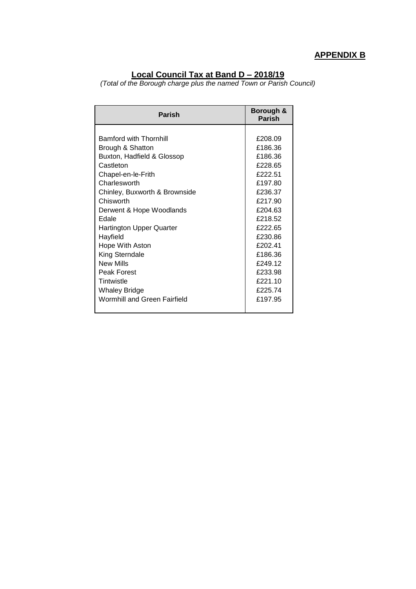# **APPENDIX B**

#### **Local Council Tax at Band D – 2018/19**

*(Total of the Borough charge plus the named Town or Parish Council)*

| <b>Parish</b>                                                                                                                                                        | Borough &<br><b>Parish</b>                                                |
|----------------------------------------------------------------------------------------------------------------------------------------------------------------------|---------------------------------------------------------------------------|
| Bamford with Thornhill<br>Brough & Shatton<br>Buxton, Hadfield & Glossop<br>Castleton                                                                                | £208.09<br>£186.36<br>£186.36<br>£228.65<br><b>£222.51</b>                |
| Chapel-en-le-Frith<br>Charlesworth<br>Chinley, Buxworth & Brownside<br>Chisworth<br>Derwent & Hope Woodlands<br>Edale<br><b>Hartington Upper Quarter</b><br>Hayfield | £197.80<br>£236.37<br>£217.90<br>£204.63<br>£218.52<br>£222.65<br>£230.86 |
| Hope With Aston<br>King Sterndale<br><b>New Mills</b><br>Peak Forest<br>Tintwistle<br><b>Whaley Bridge</b><br>Wormhill and Green Fairfield                           | £202.41<br>£186.36<br>£249.12<br>£233.98<br>£221.10<br>£225.74<br>£197.95 |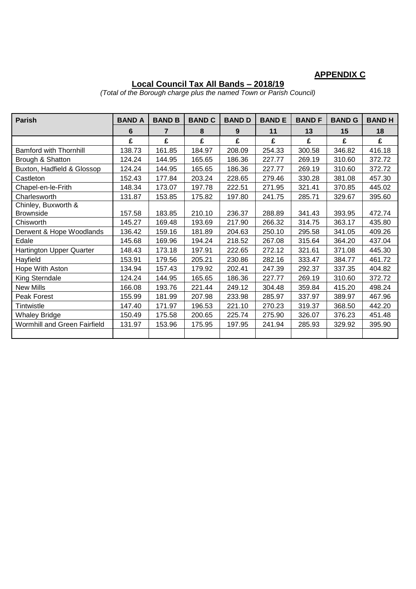# **APPENDIX C**

#### **Local Council Tax All Bands – 2018/19**

*(Total of the Borough charge plus the named Town or Parish Council)*

| <b>Parish</b>                       | <b>BAND A</b> | <b>BAND B</b> | <b>BAND C</b> | <b>BAND D</b> | <b>BANDE</b> | <b>BANDF</b> | <b>BAND G</b> | <b>BANDH</b> |
|-------------------------------------|---------------|---------------|---------------|---------------|--------------|--------------|---------------|--------------|
|                                     | 6             | 7             | 8             | 9             | 11           | 13           | 15            | 18           |
|                                     | £             | £             | £             | £             | £            | £            | £             | £            |
| <b>Bamford with Thornhill</b>       | 138.73        | 161.85        | 184.97        | 208.09        | 254.33       | 300.58       | 346.82        | 416.18       |
| Brough & Shatton                    | 124.24        | 144.95        | 165.65        | 186.36        | 227.77       | 269.19       | 310.60        | 372.72       |
| Buxton, Hadfield & Glossop          | 124.24        | 144.95        | 165.65        | 186.36        | 227.77       | 269.19       | 310.60        | 372.72       |
| Castleton                           | 152.43        | 177.84        | 203.24        | 228.65        | 279.46       | 330.28       | 381.08        | 457.30       |
| Chapel-en-le-Frith                  | 148.34        | 173.07        | 197.78        | 222.51        | 271.95       | 321.41       | 370.85        | 445.02       |
| Charlesworth                        | 131.87        | 153.85        | 175.82        | 197.80        | 241.75       | 285.71       | 329.67        | 395.60       |
| Chinley, Buxworth &                 |               |               |               |               |              |              |               |              |
| <b>Brownside</b>                    | 157.58        | 183.85        | 210.10        | 236.37        | 288.89       | 341.43       | 393.95        | 472.74       |
| Chisworth                           | 145.27        | 169.48        | 193.69        | 217.90        | 266.32       | 314.75       | 363.17        | 435.80       |
| Derwent & Hope Woodlands            | 136.42        | 159.16        | 181.89        | 204.63        | 250.10       | 295.58       | 341.05        | 409.26       |
| Edale                               | 145.68        | 169.96        | 194.24        | 218.52        | 267.08       | 315.64       | 364.20        | 437.04       |
| Hartington Upper Quarter            | 148.43        | 173.18        | 197.91        | 222.65        | 272.12       | 321.61       | 371.08        | 445.30       |
| Hayfield                            | 153.91        | 179.56        | 205.21        | 230.86        | 282.16       | 333.47       | 384.77        | 461.72       |
| Hope With Aston                     | 134.94        | 157.43        | 179.92        | 202.41        | 247.39       | 292.37       | 337.35        | 404.82       |
| King Sterndale                      | 124.24        | 144.95        | 165.65        | 186.36        | 227.77       | 269.19       | 310.60        | 372.72       |
| <b>New Mills</b>                    | 166.08        | 193.76        | 221.44        | 249.12        | 304.48       | 359.84       | 415.20        | 498.24       |
| Peak Forest                         | 155.99        | 181.99        | 207.98        | 233.98        | 285.97       | 337.97       | 389.97        | 467.96       |
| Tintwistle                          | 147.40        | 171.97        | 196.53        | 221.10        | 270.23       | 319.37       | 368.50        | 442.20       |
| <b>Whaley Bridge</b>                | 150.49        | 175.58        | 200.65        | 225.74        | 275.90       | 326.07       | 376.23        | 451.48       |
| <b>Wormhill and Green Fairfield</b> | 131.97        | 153.96        | 175.95        | 197.95        | 241.94       | 285.93       | 329.92        | 395.90       |
|                                     |               |               |               |               |              |              |               |              |